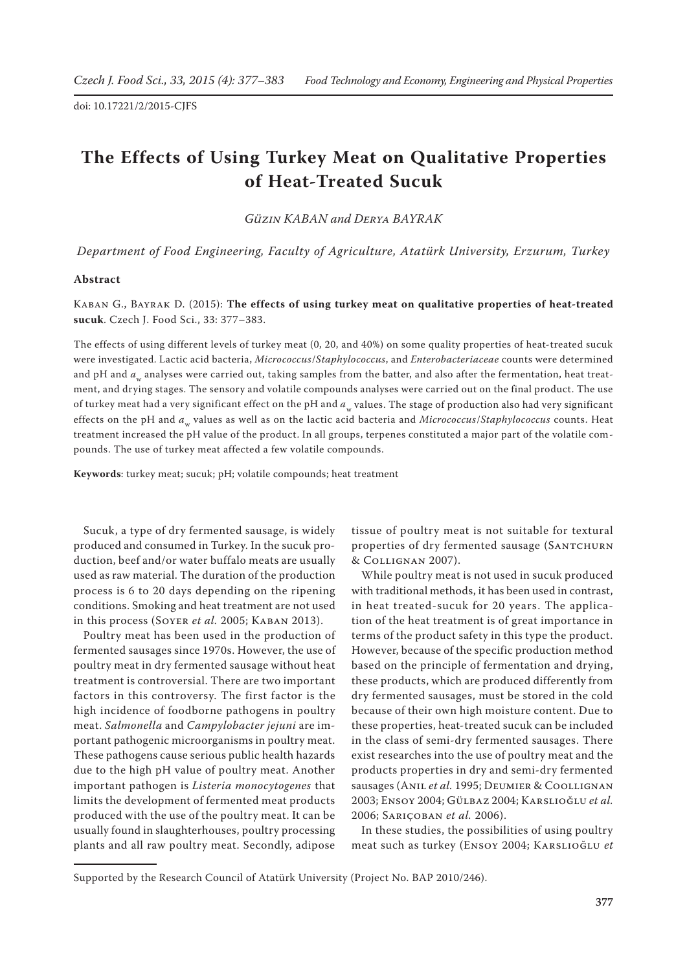# **The Effects of Using Turkey Meat on Qualitative Properties of Heat-Treated Sucuk**

*Güzin Kaban and Derya Bayrak*

*Department of Food Engineering, Faculty of Agriculture, Atatürk University, Erzurum, Turkey*

#### **Abstract**

Kaban G., Bayrak D. (2015): **The effects of using turkey meat on qualitative properties of heat-treated sucuk**. Czech J. Food Sci., 33: 377–383.

The effects of using different levels of turkey meat (0, 20, and 40%) on some quality properties of heat-treated sucuk were investigated. Lactic acid bacteria, *Micrococcus*/*Staphylococcus*, and *Enterobacteriaceae* counts were determined and pH and  $a_{\mu}$  analyses were carried out, taking samples from the batter, and also after the fermentation, heat treatment, and drying stages. The sensory and volatile compounds analyses were carried out on the final product. The use of turkey meat had a very significant effect on the pH and  $a_w$  values. The stage of production also had very significant effects on the pH and  $a_w$  values as well as on the lactic acid bacteria and *Micrococcus*/*Staphylococcus* counts. Heat treatment increased the pH value of the product. In all groups, terpenes constituted a major part of the volatile compounds. The use of turkey meat affected a few volatile compounds.

**Keywords**: turkey meat; sucuk; pH; volatile compounds; heat treatment

Sucuk, a type of dry fermented sausage, is widely produced and consumed in Turkey. In the sucuk production, beef and/or water buffalo meats are usually used as raw material. The duration of the production process is 6 to 20 days depending on the ripening conditions. Smoking and heat treatment are not used in this process (Soyer *et al.* 2005; Kaban 2013).

Poultry meat has been used in the production of fermented sausages since 1970s. However, the use of poultry meat in dry fermented sausage without heat treatment is controversial. There are two important factors in this controversy. The first factor is the high incidence of foodborne pathogens in poultry meat. *Salmonella* and *Campylobacter jejuni* are important pathogenic microorganisms in poultry meat. These pathogens cause serious public health hazards due to the high pH value of poultry meat. Another important pathogen is *Listeria monocytogenes* that limits the development of fermented meat products produced with the use of the poultry meat. It can be usually found in slaughterhouses, poultry processing plants and all raw poultry meat. Secondly, adipose

tissue of poultry meat is not suitable for textural properties of dry fermented sausage (SANTCHURN & Collignan 2007).

While poultry meat is not used in sucuk produced with traditional methods, it has been used in contrast, in heat treated-sucuk for 20 years. The application of the heat treatment is of great importance in terms of the product safety in this type the product. However, because of the specific production method based on the principle of fermentation and drying, these products, which are produced differently from dry fermented sausages, must be stored in the cold because of their own high moisture content. Due to these properties, heat-treated sucuk can be included in the class of semi-dry fermented sausages. There exist researches into the use of poultry meat and the products properties in dry and semi-dry fermented sausages (Anil *et al.* 1995; Deumier & Coollignan 2003; Ensoy 2004; Gülbaz 2004; Karslioğlu *et al.* 2006; Sariçoban *et al.* 2006).

In these studies, the possibilities of using poultry meat such as turkey (Ensoy 2004; Karslioğlu *et* 

Supported by the Research Council of Atatürk University (Project No. BAP 2010/246).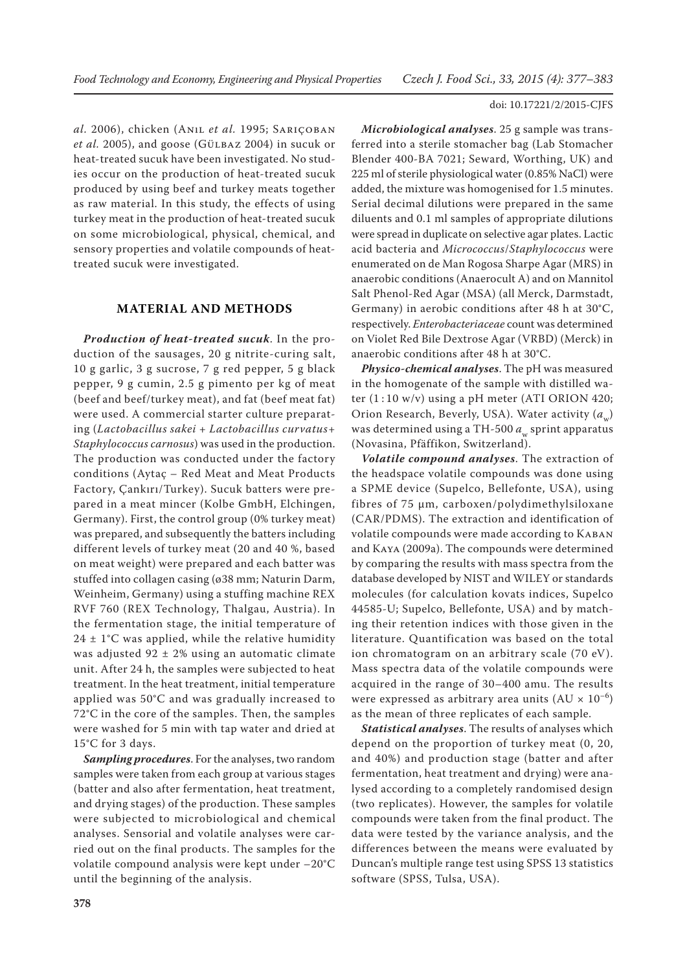*al.* 2006), chicken (Anıl *et al.* 1995; Sariçoban et al. 2005), and goose (GÜLBAZ 2004) in sucuk or heat-treated sucuk have been investigated. No studies occur on the production of heat-treated sucuk produced by using beef and turkey meats together as raw material. In this study, the effects of using turkey meat in the production of heat-treated sucuk on some microbiological, physical, chemical, and sensory properties and volatile compounds of heattreated sucuk were investigated.

## **MATERIAL AND METHODS**

*Production of heat-treated sucuk*. In the production of the sausages, 20 g nitrite-curing salt, 10 g garlic, 3 g sucrose, 7 g red pepper, 5 g black pepper, 9 g cumin, 2.5 g pimento per kg of meat (beef and beef/turkey meat), and fat (beef meat fat) were used. A commercial starter culture preparating (*Lactobacillus sakei* + *Lactobacillus curvatus+ Staphylococcus carnosus*) was used in the production. The production was conducted under the factory conditions (Aytaç – Red Meat and Meat Products Factory, Çankırı/Turkey). Sucuk batters were prepared in a meat mincer (Kolbe GmbH, Elchingen, Germany). First, the control group (0% turkey meat) was prepared, and subsequently the batters including different levels of turkey meat (20 and 40 %, based on meat weight) were prepared and each batter was stuffed into collagen casing (ø38 mm; Naturin Darm, Weinheim, Germany) using a stuffing machine REX RVF 760 (REX Technology, Thalgau, Austria). In the fermentation stage, the initial temperature of  $24 \pm 1$ °C was applied, while the relative humidity was adjusted 92  $\pm$  2% using an automatic climate unit. After 24 h, the samples were subjected to heat treatment. In the heat treatment, initial temperature applied was 50°C and was gradually increased to 72°C in the core of the samples. Then, the samples were washed for 5 min with tap water and dried at 15°C for 3 days.

*Sampling procedures*. For the analyses, two random samples were taken from each group at various stages (batter and also after fermentation, heat treatment, and drying stages) of the production. These samples were subjected to microbiological and chemical analyses. Sensorial and volatile analyses were carried out on the final products. The samples for the volatile compound analysis were kept under –20°C until the beginning of the analysis.

*Microbiological analyses*. 25 g sample was transferred into a sterile stomacher bag (Lab Stomacher Blender 400-BA 7021; Seward, Worthing, UK) and 225 ml of sterile physiological water (0.85% NaCl) were added, the mixture was homogenised for 1.5 minutes. Serial decimal dilutions were prepared in the same diluents and 0.1 ml samples of appropriate dilutions were spread in duplicate on selective agar plates. Lactic acid bacteria and *Micrococcus*/*Staphylococcus* were enumerated on de Man Rogosa Sharpe Agar (MRS) in anaerobic conditions (Anaerocult A) and on Mannitol Salt Phenol-Red Agar (MSA) (all Merck, Darmstadt, Germany) in aerobic conditions after 48 h at 30°C, respectively. *Enterobacteriaceae* count was determined on Violet Red Bile Dextrose Agar (VRBD) (Merck) in anaerobic conditions after 48 h at 30°C.

*Physico-chemical analyses*. The pH was measured in the homogenate of the sample with distilled water (1 : 10 w/v) using a pH meter (ATI ORION 420; Orion Research, Beverly, USA). Water activity (*a*w) was determined using a TH-500  $a<sub>xx</sub>$  sprint apparatus (Novasina, Pfäffikon, Switzerland).

*Volatile compound analyses*. The extraction of the headspace volatile compounds was done using a SPME device (Supelco, Bellefonte, USA), using fibres of 75 µm, carboxen/polydimethylsiloxane (CAR/PDMS). The extraction and identification of volatile compounds were made according to Kaban and Kaya (2009a). The compounds were determined by comparing the results with mass spectra from the database developed by NIST and WILEY or standards molecules (for calculation kovats indices, Supelco 44585-U; Supelco, Bellefonte, USA) and by matching their retention indices with those given in the literature. Quantification was based on the total ion chromatogram on an arbitrary scale (70 eV). Mass spectra data of the volatile compounds were acquired in the range of 30–400 amu. The results were expressed as arbitrary area units  $(AU \times 10^{-6})$ as the mean of three replicates of each sample.

*Statistical analyses*. The results of analyses which depend on the proportion of turkey meat (0, 20, and 40%) and production stage (batter and after fermentation, heat treatment and drying) were analysed according to a completely randomised design (two replicates). However, the samples for volatile compounds were taken from the final product. The data were tested by the variance analysis, and the differences between the means were evaluated by Duncan's multiple range test using SPSS 13 statistics software (SPSS, Tulsa, USA).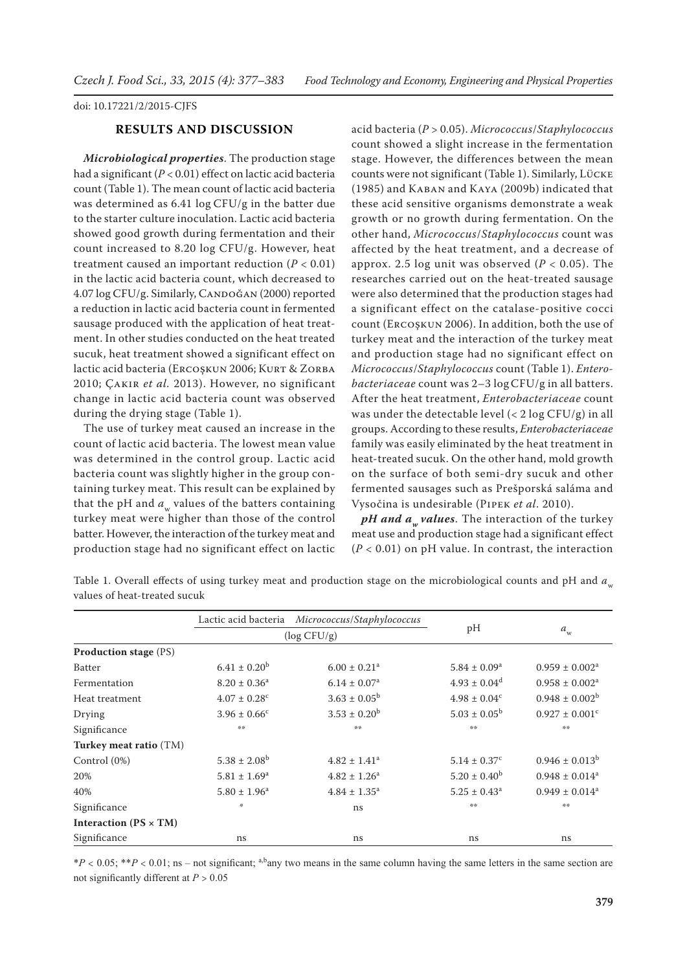### **RESULTS AND DISCUSSION**

*Microbiological properties*. The production stage had a significant (*P* < 0.01) effect on lactic acid bacteria count (Table 1). The mean count of lactic acid bacteria was determined as 6.41 log CFU/g in the batter due to the starter culture inoculation. Lactic acid bacteria showed good growth during fermentation and their count increased to 8.20 log CFU/g. However, heat treatment caused an important reduction  $(P < 0.01)$ in the lactic acid bacteria count, which decreased to 4.07 log CFU/g. Similarly, CANDOĞAN (2000) reported a reduction in lactic acid bacteria count in fermented sausage produced with the application of heat treatment. In other studies conducted on the heat treated sucuk, heat treatment showed a significant effect on lactic acid bacteria (ERCOȘKUN 2006; KURT & ZORBA 2010; Çakir *et al.* 2013). However, no significant change in lactic acid bacteria count was observed during the drying stage (Table 1).

The use of turkey meat caused an increase in the count of lactic acid bacteria. The lowest mean value was determined in the control group. Lactic acid bacteria count was slightly higher in the group containing turkey meat. This result can be explained by that the pH and  $a_w$  values of the batters containing turkey meat were higher than those of the control batter. However, the interaction of the turkey meat and production stage had no significant effect on lactic acid bacteria (*P* > 0.05). *Micrococcus*/*Staphylococcus* count showed a slight increase in the fermentation stage. However, the differences between the mean counts were not significant (Table 1). Similarly, Lücke (1985) and Kaban and Kaya (2009b) indicated that these acid sensitive organisms demonstrate a weak growth or no growth during fermentation. On the other hand, *Micrococcus*/*Staphylococcus* count was affected by the heat treatment, and a decrease of approx. 2.5 log unit was observed  $(P < 0.05)$ . The researches carried out on the heat-treated sausage were also determined that the production stages had a significant effect on the catalase-positive cocci count (Ercoşkun 2006). In addition, both the use of turkey meat and the interaction of the turkey meat and production stage had no significant effect on *Micrococcus*/*Staphylococcus* count (Table 1). *Enterobacteriaceae* count was 2–3 logCFU/g in all batters. After the heat treatment, *Enterobacteriaceae* count was under the detectable level  $(< 2 \log CFU/g)$  in all groups. According to these results, *Enterobacteriaceae* family was easily eliminated by the heat treatment in heat-treated sucuk. On the other hand, mold growth on the surface of both semi-dry sucuk and other fermented sausages such as Prešporská saláma and Vysočina is undesirable (Pipek *et al*. 2010).

 $pH$  and  $a_w$  values. The interaction of the turkey meat use and production stage had a significant effect  $(P < 0.01)$  on pH value. In contrast, the interaction

Table 1. Overall effects of using turkey meat and production stage on the microbiological counts and pH and *a*<sup>w</sup> values of heat-treated sucuk

|                                |                              | Lactic acid bacteria Micrococcus/Staphylococcus |                         |                                |  |
|--------------------------------|------------------------------|-------------------------------------------------|-------------------------|--------------------------------|--|
|                                | $(\log CFU/g)$               |                                                 | pH                      | $a_{\rm w}$                    |  |
| <b>Production stage (PS)</b>   |                              |                                                 |                         |                                |  |
| Batter                         | $6.41 \pm 0.20^b$            | $6.00 \pm 0.21$ <sup>a</sup>                    | $5.84 \pm 0.09^{\rm a}$ | $0.959 \pm 0.002$ <sup>a</sup> |  |
| Fermentation                   | $8.20 \pm 0.36^a$            | $6.14 \pm 0.07^a$                               | $4.93 \pm 0.04^d$       | $0.958 \pm 0.002^a$            |  |
| Heat treatment                 | $4.07 \pm 0.28$ <sup>c</sup> | $3.63 \pm 0.05^{\rm b}$                         | $4.98 \pm 0.04^c$       | $0.948 \pm 0.002^b$            |  |
| Drying                         | $3.96 \pm 0.66$ <sup>c</sup> | $3.53 \pm 0.20^{\rm b}$                         | $5.03 \pm 0.05^{\rm b}$ | $0.927 \pm 0.001$ <sup>c</sup> |  |
| Significance                   | 染染                           | 染染                                              | 染染                      | 染染                             |  |
| Turkey meat ratio (TM)         |                              |                                                 |                         |                                |  |
| Control (0%)                   | $5.38 \pm 2.08^b$            | $4.82 \pm 1.41^a$                               | $5.14 \pm 0.37^c$       | $0.946 \pm 0.013^b$            |  |
| 20%                            | $5.81 \pm 1.69^a$            | $4.82 \pm 1.26^a$                               | $5.20 \pm 0.40^{\rm b}$ | $0.948 \pm 0.014^a$            |  |
| 40%                            | $5.80 \pm 1.96^a$            | $4.84 \pm 1.35^a$                               | $5.25 \pm 0.43^a$       | $0.949 \pm 0.014^a$            |  |
| Significance                   | *                            | ns                                              | 操操                      | 操作                             |  |
| Interaction ( $PS \times TM$ ) |                              |                                                 |                         |                                |  |
| Significance                   | ns                           | ns                                              | ns                      | ns                             |  |

 $*P < 0.05$ ;  $*^*P < 0.01$ ; ns – not significant; <sup>a,b</sup>any two means in the same column having the same letters in the same section are not significantly different at *P* > 0.05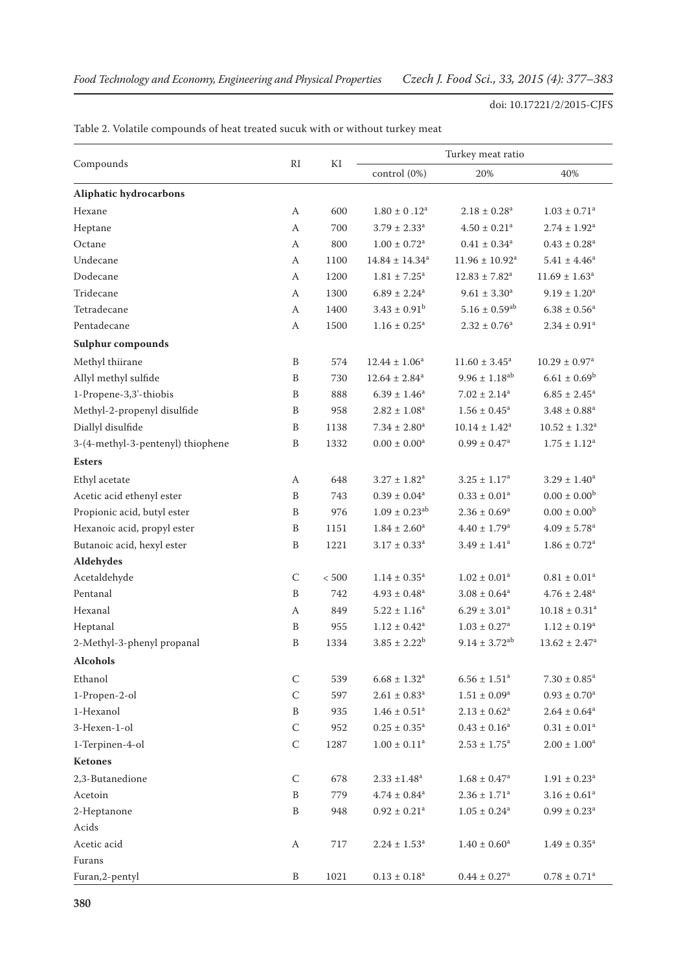|                                   |              | $\rm{KI}$ | Turkey meat ratio             |                               |                              |
|-----------------------------------|--------------|-----------|-------------------------------|-------------------------------|------------------------------|
| Compounds                         | RI           |           | control (0%)                  | 20%                           | 40%                          |
| Aliphatic hydrocarbons            |              |           |                               |                               |                              |
| Hexane                            | A            | 600       | $1.80 \pm 0.12^a$             | $2.18 \pm 0.28$ <sup>a</sup>  | $1.03 \pm 0.71$ <sup>a</sup> |
| Heptane                           | A            | 700       | $3.79 \pm 2.33^a$             | $4.50 \pm 0.21$ <sup>a</sup>  | $2.74 \pm 1.92^a$            |
| Octane                            | A            | 800       | $1.00\pm0.72^{\rm a}$         | $0.41 \pm 0.34^a$             | $0.43\pm0.28^{\rm a}$        |
| Undecane                          | A            | 1100      | $14.84 \pm 14.34^a$           | $11.96 \pm 10.92^a$           | $5.41 \pm 4.46^a$            |
| Dodecane                          | A            | 1200      | $1.81 \pm 7.25^a$             | $12.83 \pm 7.82^a$            | $11.69 \pm 1.63^a$           |
| Tridecane                         | A            | 1300      | $6.89 \pm 2.24^a$             | $9.61 \pm 3.30^a$             | $9.19 \pm 1.20^a$            |
| Tetradecane                       | A            | 1400      | $3.43 \pm 0.91^b$             | $5.16 \pm 0.59$ <sup>ab</sup> | $6.38 \pm 0.56^a$            |
| Pentadecane                       | A            | 1500      | $1.16 \pm 0.25^a$             | $2.32 \pm 0.76^a$             | $2.34 \pm 0.91$ <sup>a</sup> |
| Sulphur compounds                 |              |           |                               |                               |                              |
| Methyl thiirane                   | B            | 574       | $12.44 \pm 1.06^a$            | $11.60\pm3.45^{\rm a}$        | $10.29 \pm 0.97^{\rm a}$     |
| Allyl methyl sulfide              | $\, {\bf B}$ | 730       | $12.64 \pm 2.84$ <sup>a</sup> | $9.96 \pm 1.18^{ab}$          | $6.61 \pm 0.69^b$            |
| 1-Propene-3,3'-thiobis            | B            | 888       | $6.39 \pm 1.46^a$             | $7.02 \pm 2.14^a$             | $6.85\pm2.45^{\rm a}$        |
| Methyl-2-propenyl disulfide       | B            | 958       | $2.82 \pm 1.08^{\rm a}$       | $1.56\pm0.45^{\rm a}$         | $3.48 \pm 0.88$ <sup>a</sup> |
| Diallyl disulfide                 | $\, {\bf B}$ | 1138      | $7.34 \pm 2.80^a$             | $10.14 \pm 1.42^a$            | $10.52 \pm 1.32^a$           |
| 3-(4-methyl-3-pentenyl) thiophene | B            | 1332      | $0.00 \pm 0.00^a$             | $0.99 \pm 0.47$ <sup>a</sup>  | $1.75 \pm 1.12^a$            |
| <b>Esters</b>                     |              |           |                               |                               |                              |
| Ethyl acetate                     | A            | 648       | $3.27 \pm 1.82^a$             | $3.25 \pm 1.17^a$             | $3.29 \pm 1.40^a$            |
| Acetic acid ethenyl ester         | $\, {\bf B}$ | 743       | $0.39 \pm 0.04^a$             | $0.33 \pm 0.01^a$             | $0.00 \pm 0.00^{\rm b}$      |
| Propionic acid, butyl ester       | B            | 976       | $1.09 \pm 0.23$ <sup>ab</sup> | $2.36\pm0.69^{\rm a}$         | $0.00\pm0.00^{\rm b}$        |
| Hexanoic acid, propyl ester       | B            | 1151      | $1.84 \pm 2.60^a$             | $4.40 \pm 1.79$ <sup>a</sup>  | $4.09 \pm 5.78^a$            |
| Butanoic acid, hexyl ester        | $\, {\bf B}$ | 1221      | $3.17 \pm 0.33$ <sup>a</sup>  | $3.49 \pm 1.41$ <sup>a</sup>  | $1.86\pm0.72^{\rm a}$        |
| Aldehydes                         |              |           |                               |                               |                              |
| Acetaldehyde                      | $\cal C$     | $<500\,$  | $1.14 \pm 0.35^a$             | $1.02 \pm 0.01^a$             | $0.81 \pm 0.01^a$            |
| Pentanal                          | $\, {\bf B}$ | 742       | $4.93 \pm 0.48^a$             | $3.08 \pm 0.64^a$             | $4.76 \pm 2.48^a$            |
| Hexanal                           | A            | 849       | $5.22 \pm 1.16^a$             | $6.29\pm3.01^{\rm a}$         | $10.18 \pm 0.31^a$           |
| Heptanal                          | B            | 955       | $1.12 \pm 0.42^a$             | $1.03 \pm 0.27^{\rm a}$       | $1.12 \pm 0.19^a$            |
| 2-Methyl-3-phenyl propanal        | $\, {\bf B}$ | 1334      | $3.85 \pm 2.22^b$             | $9.14 \pm 3.72$ <sup>ab</sup> | $13.62 \pm 2.47^a$           |
| Alcohols                          |              |           |                               |                               |                              |
| Ethanol                           | C            | 539       | $6.68 \pm 1.32^a$             | $6.56 \pm 1.51$ <sup>a</sup>  | $7.30 \pm 0.85^a$            |
| 1-Propen-2-ol                     | $\cal C$     | 597       | $2.61 \pm 0.83$ <sup>a</sup>  | $1.51 \pm 0.09^{\rm a}$       | $0.93\pm0.70^{\rm a}$        |
| 1-Hexanol                         | $\, {\bf B}$ | 935       | $1.46 \pm 0.51$ <sup>a</sup>  | $2.13 \pm 0.62^a$             | $2.64 \pm 0.64^a$            |
| 3-Hexen-1-ol                      | C            | 952       | $0.25\pm0.35^{\rm a}$         | $0.43 \pm 0.16^a$             | $0.31\pm0.01^{\rm a}$        |
| 1-Terpinen-4-ol                   | $\cal C$     | 1287      | $1.00 \pm 0.11^a$             | $2.53 \pm 1.75^a$             | $2.00 \pm 1.00^a$            |
| Ketones                           |              |           |                               |                               |                              |
| 2,3-Butanedione                   | C            | 678       | $2.33 \pm 1.48^a$             | $1.68 \pm 0.47^a$             | $1.91 \pm 0.23$ <sup>a</sup> |
| Acetoin                           | B            | 779       | $4.74 \pm 0.84$ <sup>a</sup>  | $2.36 \pm 1.71$ <sup>a</sup>  | $3.16\pm0.61^{\rm a}$        |
| 2-Heptanone                       | B            | 948       | $0.92 \pm 0.21$ <sup>a</sup>  | $1.05 \pm 0.24$ <sup>a</sup>  | $0.99 \pm 0.23^a$            |
| Acids                             |              |           |                               |                               |                              |
| Acetic acid                       | A            | 717       | $2.24 \pm 1.53^a$             | $1.40 \pm 0.60^a$             | $1.49 \pm 0.35^a$            |
| Furans                            |              |           |                               |                               |                              |
| Furan, 2-pentyl                   | B            | 1021      | $0.13 \pm 0.18^a$             | $0.44 \pm 0.27$ <sup>a</sup>  | $0.78 \pm 0.71$ <sup>a</sup> |

Table 2. Volatile compounds of heat treated sucuk with or without turkey meat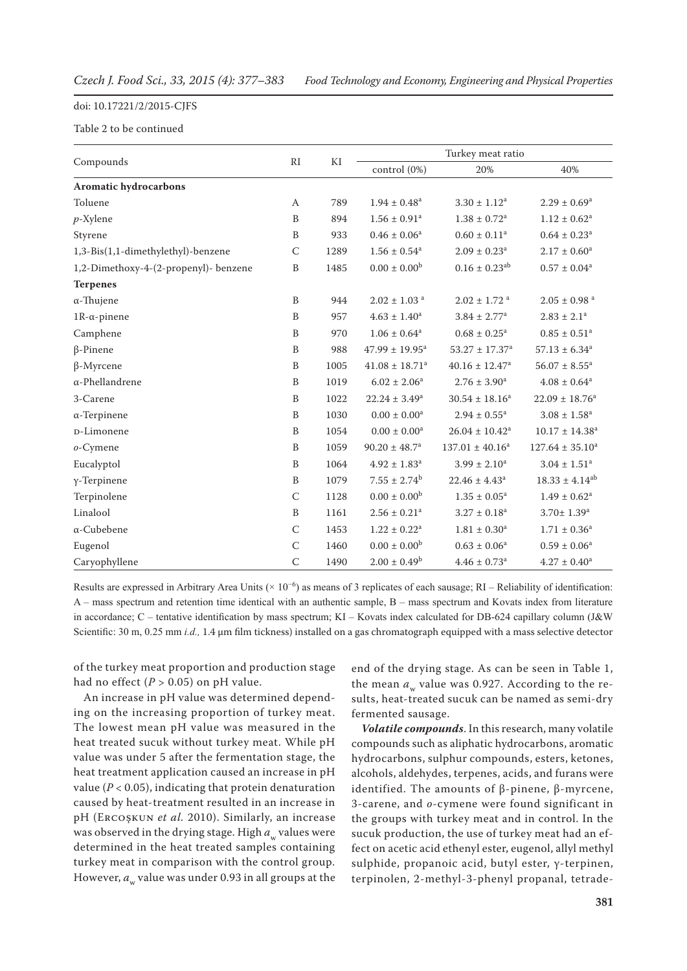Table 2 to be continued

|                                       |                         | KI   | Turkey meat ratio              |                                |                               |
|---------------------------------------|-------------------------|------|--------------------------------|--------------------------------|-------------------------------|
| Compounds                             | $\mathbb{R}\mathcal{I}$ |      | control (0%)                   | 20%                            | 40%                           |
| Aromatic hydrocarbons                 |                         |      |                                |                                |                               |
| Toluene                               | A                       | 789  | $1.94 \pm 0.48$ <sup>a</sup>   | $3.30 \pm 1.12^a$              | $2.29 \pm 0.69^a$             |
| $p$ -Xylene                           | B                       | 894  | $1.56 \pm 0.91^a$              | $1.38 \pm 0.72$ <sup>a</sup>   | $1.12 \pm 0.62^a$             |
| Styrene                               | $\, {\bf B}$            | 933  | $0.46 \pm 0.06^a$              | $0.60 \pm 0.11^a$              | $0.64 \pm 0.23$ <sup>a</sup>  |
| 1,3-Bis(1,1-dimethylethyl)-benzene    | $\cal C$                | 1289 | $1.56 \pm 0.54$ <sup>a</sup>   | $2.09 \pm 0.23$ <sup>a</sup>   | $2.17 \pm 0.60^a$             |
| 1,2-Dimethoxy-4-(2-propenyl)- benzene | $\, {\bf B}$            | 1485 | $0.00 \pm 0.00^{\rm b}$        | $0.16 \pm 0.23$ <sup>ab</sup>  | $0.57 \pm 0.04^a$             |
| <b>Terpenes</b>                       |                         |      |                                |                                |                               |
| $\alpha$ -Thujene                     | B                       | 944  | $2.02 \pm 1.03$ <sup>a</sup>   | $2.02 \pm 1.72$ <sup>a</sup>   | $2.05 \pm 0.98$ <sup>a</sup>  |
| $1R-\alpha$ -pinene                   | $\, {\bf B}$            | 957  | $4.63 \pm 1.40^a$              | $3.84 \pm 2.77$ <sup>a</sup>   | $2.83 \pm 2.1^a$              |
| Camphene                              | B                       | 970  | $1.06 \pm 0.64$ <sup>a</sup>   | $0.68 \pm 0.25$ <sup>a</sup>   | $0.85 \pm 0.51$ <sup>a</sup>  |
| $\beta$ -Pinene                       | $\, {\bf B}$            | 988  | $47.99 \pm 19.95^a$            | $53.27 \pm 17.37^a$            | $57.13 \pm 6.34$ <sup>a</sup> |
| $\beta$ -Myrcene                      | $\, {\bf B}$            | 1005 | $41.08 \pm 18.71$ <sup>a</sup> | $40.16 \pm 12.47$ <sup>a</sup> | $56.07 \pm 8.55^a$            |
| $\alpha$ -Phellandrene                | $\, {\bf B}$            | 1019 | $6.02 \pm 2.06^a$              | $2.76 \pm 3.90^a$              | $4.08 \pm 0.64$ <sup>a</sup>  |
| 3-Carene                              | B                       | 1022 | $22.24 \pm 3.49^a$             | $30.54 \pm 18.16^a$            | $22.09 \pm 18.76^a$           |
| $\alpha$ -Terpinene                   | B                       | 1030 | $0.00 \pm 0.00^a$              | $2.94\pm0.55^{\rm a}$          | $3.08 \pm 1.58^a$             |
| D-Limonene                            | $\, {\bf B}$            | 1054 | $0.00 \pm 0.00^a$              | $26.04 \pm 10.42^a$            | $10.17 \pm 14.38^a$           |
| $o$ -Cymene                           | B                       | 1059 | $90.20 \pm 48.7^{\circ}$       | $137.01 \pm 40.16^a$           | $127.64 \pm 35.10^a$          |
| Eucalyptol                            | $\, {\bf B}$            | 1064 | $4.92 \pm 1.83$ <sup>a</sup>   | $3.99 \pm 2.10^a$              | $3.04\pm1.51^{\rm a}$         |
| $\gamma$ -Terpinene                   | $\, {\bf B}$            | 1079 | $7.55 \pm 2.74^b$              | $22.46 \pm 4.43^a$             | $18.33 \pm 4.14^{ab}$         |
| Terpinolene                           | $\cal C$                | 1128 | $0.00\pm0.00^{\rm b}$          | $1.35 \pm 0.05^a$              | $1.49 \pm 0.62^a$             |
| Linalool                              | $\, {\bf B}$            | 1161 | $2.56\pm0.21^{\rm a}$          | $3.27 \pm 0.18$ <sup>a</sup>   | $3.70 \pm 1.39^a$             |
| $\alpha$ -Cubebene                    | $\cal C$                | 1453 | $1.22\pm0.22^{\rm a}$          | $1.81\pm0.30^{\rm a}$          | $1.71 \pm 0.36^a$             |
| Eugenol                               | $\cal C$                | 1460 | $0.00 \pm 0.00^{\rm b}$        | $0.63 \pm 0.06^a$              | $0.59 \pm 0.06^a$             |
| Caryophyllene                         | $\cal C$                | 1490 | $2.00 \pm 0.49^b$              | $4.46 \pm 0.73$ <sup>a</sup>   | $4.27 \pm 0.40^a$             |

Results are expressed in Arbitrary Area Units (× 10−6) as means of 3 replicates of each sausage; RI – Reliability of identification: A – mass spectrum and retention time identical with an authentic sample, B – mass spectrum and Kovats index from literature in accordance; C – tentative identification by mass spectrum; KI – Kovats index calculated for DB-624 capillary column (J&W Scientific: 30 m, 0.25 mm *i.d.*, 1.4  $\mu$ m film tickness) installed on a gas chromatograph equipped with a mass selective detector

of the turkey meat proportion and production stage had no effect  $(P > 0.05)$  on pH value.

An increase in pH value was determined depending on the increasing proportion of turkey meat. The lowest mean pH value was measured in the heat treated sucuk without turkey meat. While pH value was under 5 after the fermentation stage, the heat treatment application caused an increase in pH value ( $P < 0.05$ ), indicating that protein denaturation caused by heat-treatment resulted in an increase in pH (Ercoşkun *et al.* 2010). Similarly, an increase was observed in the drying stage. High  $a_w$  values were determined in the heat treated samples containing turkey meat in comparison with the control group. However,  $a_w$  value was under 0.93 in all groups at the

end of the drying stage. As can be seen in Table 1, the mean  $a_w$  value was 0.927. According to the results, heat-treated sucuk can be named as semi-dry fermented sausage.

*Volatile compounds*. In this research, many volatile compounds such as aliphatic hydrocarbons, aromatic hydrocarbons, sulphur compounds, esters, ketones, alcohols, aldehydes, terpenes, acids, and furans were identified. The amounts of β-pinene, β-myrcene, 3-carene, and *o*-cymene were found significant in the groups with turkey meat and in control. In the sucuk production, the use of turkey meat had an effect on acetic acid ethenyl ester, eugenol, allyl methyl sulphide, propanoic acid, butyl ester, γ-terpinen, terpinolen, 2-methyl-3-phenyl propanal, tetrade-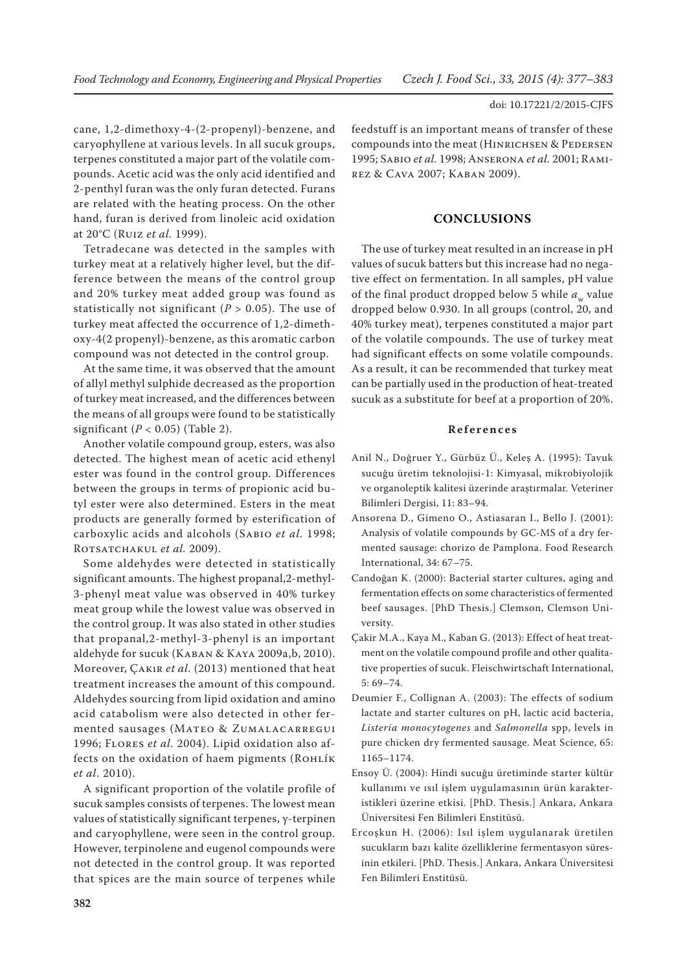cane, 1,2-dimethoxy-4-(2-propenyl)-benzene, and caryophyllene at various levels. In all sucuk groups, terpenes constituted a major part of the volatile compounds. Acetic acid was the only acid identified and 2-penthyl furan was the only furan detected. Furans are related with the heating process. On the other hand, furan is derived from linoleic acid oxidation at 20°C (Ruiz *et al.* 1999).

Tetradecane was detected in the samples with turkey meat at a relatively higher level, but the difference between the means of the control group and 20% turkey meat added group was found as statistically not significant ( $P > 0.05$ ). The use of turkey meat affected the occurrence of 1,2-dimethoxy-4(2 propenyl)-benzene, as this aromatic carbon compound was not detected in the control group.

At the same time, it was observed that the amount of allyl methyl sulphide decreased as the proportion of turkey meat increased, and the differences between the means of all groups were found to be statistically significant  $(P < 0.05)$  (Table 2).

Another volatile compound group, esters, was also detected. The highest mean of acetic acid ethenyl ester was found in the control group. Differences between the groups in terms of propionic acid butyl ester were also determined. Esters in the meat products are generally formed by esterification of carboxylic acids and alcohols (Sabio *et al.* 1998; ROTSATCHAKUL et al. 2009).

Some aldehydes were detected in statistically significant amounts. The highest propanal,2-methyl-3-phenyl meat value was observed in 40% turkey meat group while the lowest value was observed in the control group. It was also stated in other studies that propanal,2-methyl-3-phenyl is an important aldehyde for sucuk (Kaban & Kaya 2009a,b, 2010). Moreover, Çakır *et al.* (2013) mentioned that heat treatment increases the amount of this compound. Aldehydes sourcing from lipid oxidation and amino acid catabolism were also detected in other fermented sausages (Mateo & Zumalacarregui 1996; Flores *et al.* 2004). Lipid oxidation also affects on the oxidation of haem pigments (ROHLÍK *et al*. 2010).

A significant proportion of the volatile profile of sucuk samples consists of terpenes. The lowest mean values of statistically significant terpenes, γ-terpinen and caryophyllene, were seen in the control group. However, terpinolene and eugenol compounds were not detected in the control group. It was reported that spices are the main source of terpenes while feedstuff is an important means of transfer of these compounds into the meat (HINRICHSEN & PEDERSEN 1995; Sabio *et al.* 1998; Anserona *et al.* 2001; Ramirez & Cava 2007; Kaban 2009).

### **CONCLUSIONS**

The use of turkey meat resulted in an increase in pH values of sucuk batters but this increase had no negative effect on fermentation. In all samples, pH value of the final product dropped below 5 while  $a_{\mu}$  value dropped below 0.930. In all groups (control, 20, and 40% turkey meat), terpenes constituted a major part of the volatile compounds. The use of turkey meat had significant effects on some volatile compounds. As a result, it can be recommended that turkey meat can be partially used in the production of heat-treated sucuk as a substitute for beef at a proportion of 20%.

### **References**

- Anil N., Doğruer Y., Gürbüz Ü., Keleş A. (1995): Tavuk sucuğu üretim teknolojisi-1: Kimyasal, mikrobiyolojik ve organoleptik kalitesi üzerinde araştırmalar. Veteriner Bilimleri Dergisi, 11: 83–94.
- Ansorena D., Gimeno O., Astiasaran I., Bello J. (2001): Analysis of volatile compounds by GC-MS of a dry fermented sausage: chorizo de Pamplona. Food Research International, 34: 67–75.
- Candoğan K. (2000): Bacterial starter cultures, aging and fermentation effects on some characteristics of fermented beef sausages. [PhD Thesis.] Clemson, Clemson University.
- Çakir M.A., Kaya M., Kaban G. (2013): Effect of heat treatment on the volatile compound profile and other qualitative properties of sucuk. Fleischwirtschaft International, 5: 69–74.
- Deumier F., Collignan A. (2003): The effects of sodium lactate and starter cultures on pH, lactic acid bacteria, *Listeria monocytogenes* and *Salmonella* spp, levels in pure chicken dry fermented sausage. Meat Science, 65: 1165–1174.
- Ensoy Ü. (2004): Hindi sucuğu üretiminde starter kültür kullanımı ve ısıl işlem uygulamasının ürün karakteristikleri üzerine etkisi. [PhD. Thesis.] Ankara, Ankara Üniversitesi Fen Bilimleri Enstitüsü.
- Ercoşkun H. (2006): Isıl işlem uygulanarak üretilen sucukların bazı kalite özelliklerine fermentasyon süresinin etkileri. [PhD. Thesis.] Ankara, Ankara Üniversitesi Fen Bilimleri Enstitüsü.